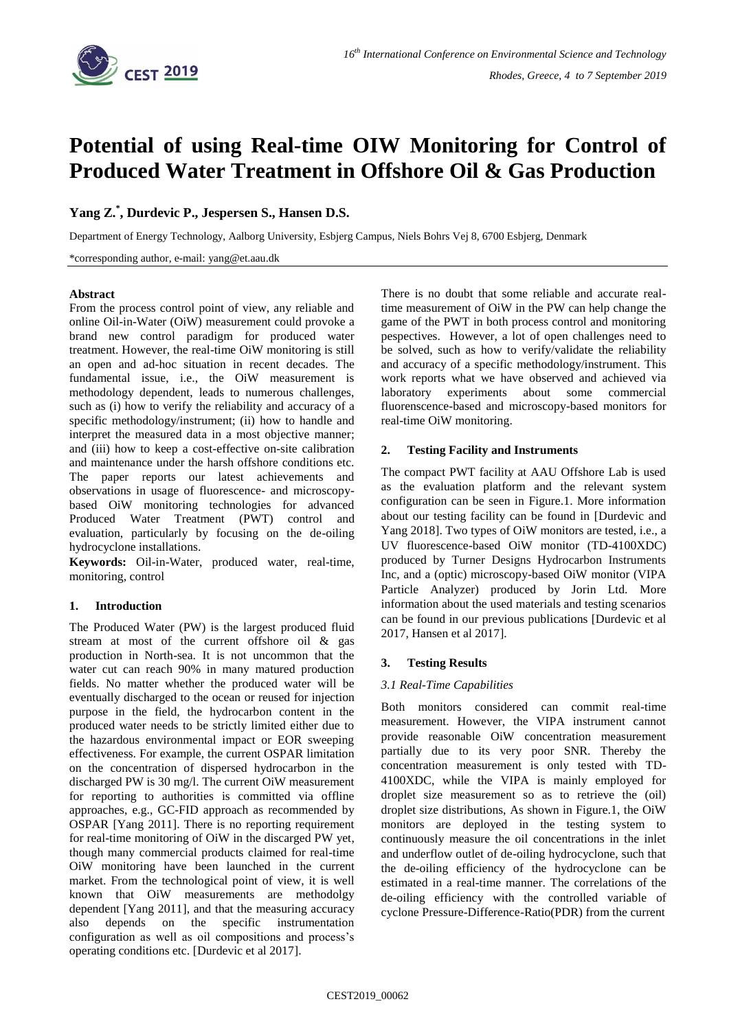

# **Potential of using Real-time OIW Monitoring for Control of Produced Water Treatment in Offshore Oil & Gas Production**

## **Yang Z. \* , Durdevic P., Jespersen S., Hansen D.S.**

Department of Energy Technology, Aalborg University, Esbjerg Campus, Niels Bohrs Vej 8, 6700 Esbjerg, Denmark

\*corresponding author, e-mail: yang@et.aau.dk

## **Abstract**

From the process control point of view, any reliable and online Oil-in-Water (OiW) measurement could provoke a brand new control paradigm for produced water treatment. However, the real-time OiW monitoring is still an open and ad-hoc situation in recent decades. The fundamental issue, i.e., the OiW measurement is methodology dependent, leads to numerous challenges, such as (i) how to verify the reliability and accuracy of a specific methodology/instrument; (ii) how to handle and interpret the measured data in a most objective manner; and (iii) how to keep a cost-effective on-site calibration and maintenance under the harsh offshore conditions etc. The paper reports our latest achievements and observations in usage of fluorescence- and microscopybased OiW monitoring technologies for advanced Produced Water Treatment (PWT) control and evaluation, particularly by focusing on the de-oiling hydrocyclone installations.

**Keywords:** Oil-in-Water, produced water, real-time, monitoring, control

## **1. Introduction**

The Produced Water (PW) is the largest produced fluid stream at most of the current offshore oil & gas production in North-sea. It is not uncommon that the water cut can reach 90% in many matured production fields. No matter whether the produced water will be eventually discharged to the ocean or reused for injection purpose in the field, the hydrocarbon content in the produced water needs to be strictly limited either due to the hazardous environmental impact or EOR sweeping effectiveness. For example, the current OSPAR limitation on the concentration of dispersed hydrocarbon in the discharged PW is 30 mg/l. The current OiW measurement for reporting to authorities is committed via offline approaches, e.g., GC-FID approach as recommended by OSPAR [Yang 2011]. There is no reporting requirement for real-time monitoring of OiW in the discarged PW yet, though many commercial products claimed for real-time OiW monitoring have been launched in the current market. From the technological point of view, it is well known that OiW measurements are methodolgy dependent [Yang 2011], and that the measuring accuracy also depends on the specific instrumentation configuration as well as oil compositions and process's operating conditions etc. [Durdevic et al 2017].

There is no doubt that some reliable and accurate realtime measurement of OiW in the PW can help change the game of the PWT in both process control and monitoring pespectives. However, a lot of open challenges need to be solved, such as how to verify/validate the reliability and accuracy of a specific methodology/instrument. This work reports what we have observed and achieved via laboratory experiments about some commercial fluorenscence-based and microscopy-based monitors for real-time OiW monitoring.

## **2. Testing Facility and Instruments**

The compact PWT facility at AAU Offshore Lab is used as the evaluation platform and the relevant system configuration can be seen in Figure.1. More information about our testing facility can be found in [Durdevic and Yang 2018]. Two types of OiW monitors are tested, i.e., a UV fluorescence-based OiW monitor (TD-4100XDC) produced by Turner Designs Hydrocarbon Instruments Inc, and a (optic) microscopy-based OiW monitor (VIPA Particle Analyzer) produced by Jorin Ltd. More information about the used materials and testing scenarios can be found in our previous publications [Durdevic et al 2017, Hansen et al 2017].

## **3. Testing Results**

## *3.1 Real-Time Capabilities*

Both monitors considered can commit real-time measurement. However, the VIPA instrument cannot provide reasonable OiW concentration measurement partially due to its very poor SNR. Thereby the concentration measurement is only tested with TD-4100XDC, while the VIPA is mainly employed for droplet size measurement so as to retrieve the (oil) droplet size distributions, As shown in Figure.1, the OiW monitors are deployed in the testing system to continuously measure the oil concentrations in the inlet and underflow outlet of de-oiling hydrocyclone, such that the de-oiling efficiency of the hydrocyclone can be estimated in a real-time manner. The correlations of the de-oiling efficiency with the controlled variable of cyclone Pressure-Difference-Ratio(PDR) from the current